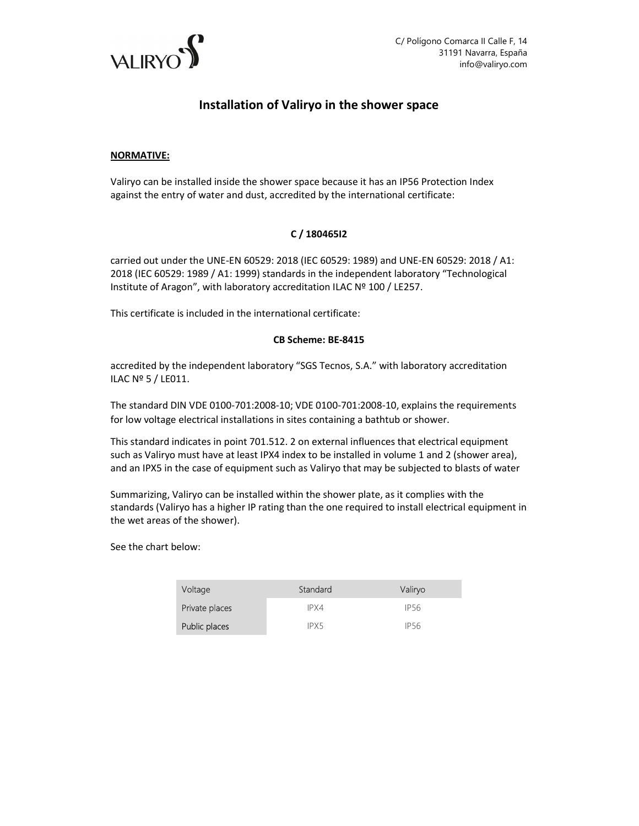

# Installation of Valiryo in the shower space

### NORMATIVE:

Valiryo can be installed inside the shower space because it has an IP56 Protection Index against the entry of water and dust, accredited by the international certificate:

## C / 180465I2

carried out under the UNE-EN 60529: 2018 (IEC 60529: 1989) and UNE-EN 60529: 2018 / A1: 2018 (IEC 60529: 1989 / A1: 1999) standards in the independent laboratory "Technological Institute of Aragon", with laboratory accreditation ILAC Nº 100 / LE257.

This certificate is included in the international certificate:

#### CB Scheme: BE-8415

accredited by the independent laboratory "SGS Tecnos, S.A." with laboratory accreditation ILAC Nº 5 / LE011.

The standard DIN VDE 0100-701:2008-10; VDE 0100-701:2008-10, explains the requirements for low voltage electrical installations in sites containing a bathtub or shower.

This standard indicates in point 701.512. 2 on external influences that electrical equipment such as Valiryo must have at least IPX4 index to be installed in volume 1 and 2 (shower area), and an IPX5 in the case of equipment such as Valiryo that may be subjected to blasts of water

Summarizing, Valiryo can be installed within the shower plate, as it complies with the standards (Valiryo has a higher IP rating than the one required to install electrical equipment in the wet areas of the shower).

See the chart below:

| Voltage        | Standard | Valiryo     |
|----------------|----------|-------------|
| Private places | IPX4     | IP56        |
| Public places  | IPX5     | <b>IP56</b> |